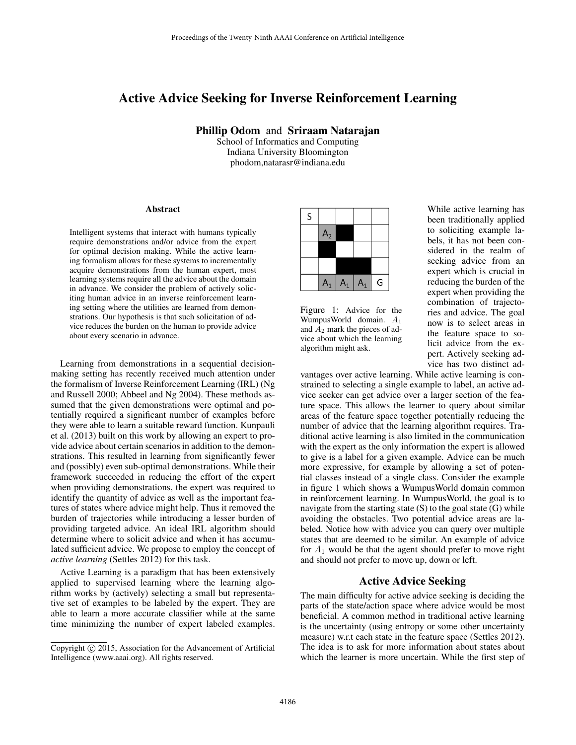# Active Advice Seeking for Inverse Reinforcement Learning

Phillip Odom and Sriraam Natarajan

School of Informatics and Computing Indiana University Bloomington phodom,natarasr@indiana.edu

#### Abstract

Intelligent systems that interact with humans typically require demonstrations and/or advice from the expert for optimal decision making. While the active learning formalism allows for these systems to incrementally acquire demonstrations from the human expert, most learning systems require all the advice about the domain in advance. We consider the problem of actively soliciting human advice in an inverse reinforcement learning setting where the utilities are learned from demonstrations. Our hypothesis is that such solicitation of advice reduces the burden on the human to provide advice about every scenario in advance.

Learning from demonstrations in a sequential decisionmaking setting has recently received much attention under the formalism of Inverse Reinforcement Learning (IRL) (Ng and Russell 2000; Abbeel and Ng 2004). These methods assumed that the given demonstrations were optimal and potentially required a significant number of examples before they were able to learn a suitable reward function. Kunpauli et al. (2013) built on this work by allowing an expert to provide advice about certain scenarios in addition to the demonstrations. This resulted in learning from significantly fewer and (possibly) even sub-optimal demonstrations. While their framework succeeded in reducing the effort of the expert when providing demonstrations, the expert was required to identify the quantity of advice as well as the important features of states where advice might help. Thus it removed the burden of trajectories while introducing a lesser burden of providing targeted advice. An ideal IRL algorithm should determine where to solicit advice and when it has accumulated sufficient advice. We propose to employ the concept of *active learning* (Settles 2012) for this task.

Active Learning is a paradigm that has been extensively applied to supervised learning where the learning algorithm works by (actively) selecting a small but representative set of examples to be labeled by the expert. They are able to learn a more accurate classifier while at the same time minimizing the number of expert labeled examples.



Figure 1: Advice for the WumpusWorld domain.  $A_1$ and  $A_2$  mark the pieces of advice about which the learning algorithm might ask.

While active learning has been traditionally applied to soliciting example labels, it has not been considered in the realm of seeking advice from an expert which is crucial in reducing the burden of the expert when providing the combination of trajectories and advice. The goal now is to select areas in the feature space to solicit advice from the expert. Actively seeking advice has two distinct ad-

vantages over active learning. While active learning is constrained to selecting a single example to label, an active advice seeker can get advice over a larger section of the feature space. This allows the learner to query about similar areas of the feature space together potentially reducing the number of advice that the learning algorithm requires. Traditional active learning is also limited in the communication with the expert as the only information the expert is allowed to give is a label for a given example. Advice can be much more expressive, for example by allowing a set of potential classes instead of a single class. Consider the example in figure 1 which shows a WumpusWorld domain common in reinforcement learning. In WumpusWorld, the goal is to navigate from the starting state  $(S)$  to the goal state  $(G)$  while avoiding the obstacles. Two potential advice areas are labeled. Notice how with advice you can query over multiple states that are deemed to be similar. An example of advice for  $A_1$  would be that the agent should prefer to move right and should not prefer to move up, down or left.

## Active Advice Seeking

The main difficulty for active advice seeking is deciding the parts of the state/action space where advice would be most beneficial. A common method in traditional active learning is the uncertainty (using entropy or some other uncertainty measure) w.r.t each state in the feature space (Settles 2012). The idea is to ask for more information about states about which the learner is more uncertain. While the first step of

Copyright  $\odot$  2015, Association for the Advancement of Artificial Intelligence (www.aaai.org). All rights reserved.